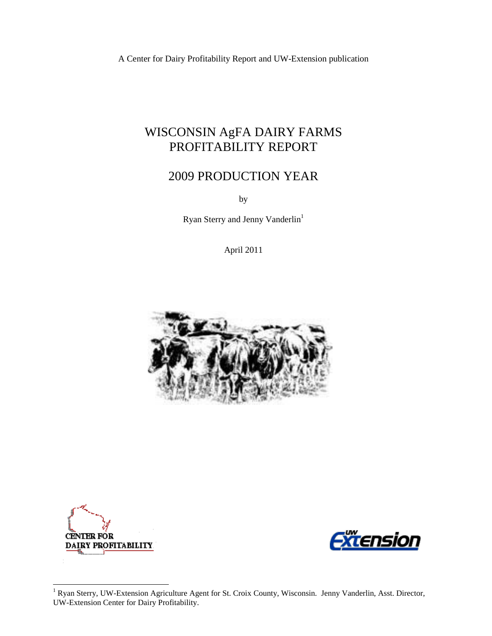A Center for Dairy Profitability Report and UW-Extension publication

# WISCONSIN AgFA DAIRY FARMS PROFITABILITY REPORT

# 2009 PRODUCTION YEAR

by

Ryan Sterry and Jenny Vanderlin<sup>1</sup>

April 2011





l



<sup>&</sup>lt;sup>1</sup> Ryan Sterry, UW-Extension Agriculture Agent for St. Croix County, Wisconsin. Jenny Vanderlin, Asst. Director, UW-Extension Center for Dairy Profitability.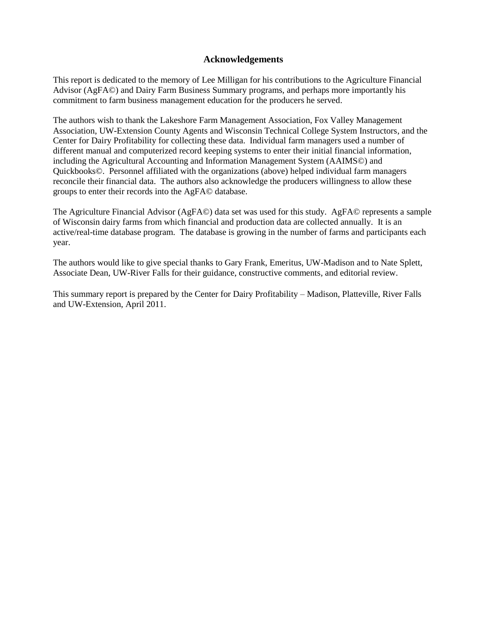### **Acknowledgements**

This report is dedicated to the memory of Lee Milligan for his contributions to the Agriculture Financial Advisor (AgFA©) and Dairy Farm Business Summary programs, and perhaps more importantly his commitment to farm business management education for the producers he served.

The authors wish to thank the Lakeshore Farm Management Association, Fox Valley Management Association, UW-Extension County Agents and Wisconsin Technical College System Instructors, and the Center for Dairy Profitability for collecting these data. Individual farm managers used a number of different manual and computerized record keeping systems to enter their initial financial information, including the Agricultural Accounting and Information Management System (AAIMS©) and Quickbooks©. Personnel affiliated with the organizations (above) helped individual farm managers reconcile their financial data. The authors also acknowledge the producers willingness to allow these groups to enter their records into the AgFA© database.

The Agriculture Financial Advisor (AgFA©) data set was used for this study. AgFA© represents a sample of Wisconsin dairy farms from which financial and production data are collected annually. It is an active/real-time database program. The database is growing in the number of farms and participants each year.

The authors would like to give special thanks to Gary Frank, Emeritus, UW-Madison and to Nate Splett, Associate Dean, UW-River Falls for their guidance, constructive comments, and editorial review.

This summary report is prepared by the Center for Dairy Profitability – Madison, Platteville, River Falls and UW-Extension, April 2011.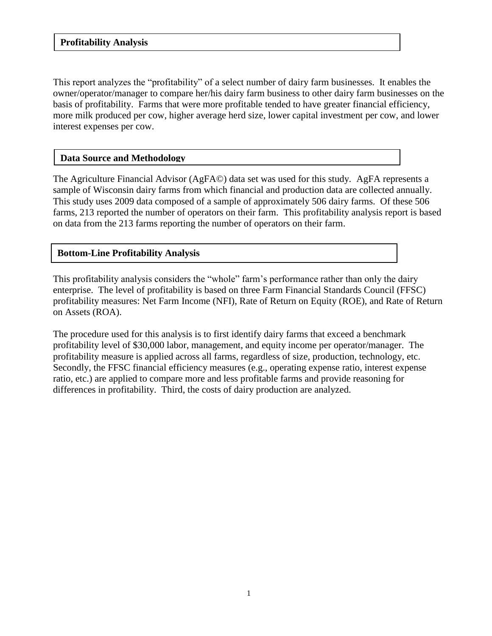### **Profitability Analysis**

This report analyzes the "profitability" of a select number of dairy farm businesses. It enables the owner/operator/manager to compare her/his dairy farm business to other dairy farm businesses on the basis of profitability. Farms that were more profitable tended to have greater financial efficiency, more milk produced per cow, higher average herd size, lower capital investment per cow, and lower interest expenses per cow.

### **Data Source and Methodology**

The Agriculture Financial Advisor (AgFA©) data set was used for this study. AgFA represents a sample of Wisconsin dairy farms from which financial and production data are collected annually. This study uses 2009 data composed of a sample of approximately 506 dairy farms. Of these 506 farms, 213 reported the number of operators on their farm. This profitability analysis report is based on data from the 213 farms reporting the number of operators on their farm.

### **Bottom-Line Profitability Analysis**

This profitability analysis considers the "whole" farm's performance rather than only the dairy enterprise. The level of profitability is based on three Farm Financial Standards Council (FFSC) profitability measures: Net Farm Income (NFI), Rate of Return on Equity (ROE), and Rate of Return on Assets (ROA).

The procedure used for this analysis is to first identify dairy farms that exceed a benchmark profitability level of \$30,000 labor, management, and equity income per operator/manager. The profitability measure is applied across all farms, regardless of size, production, technology, etc. Secondly, the FFSC financial efficiency measures (e.g., operating expense ratio, interest expense ratio, etc.) are applied to compare more and less profitable farms and provide reasoning for differences in profitability. Third, the costs of dairy production are analyzed.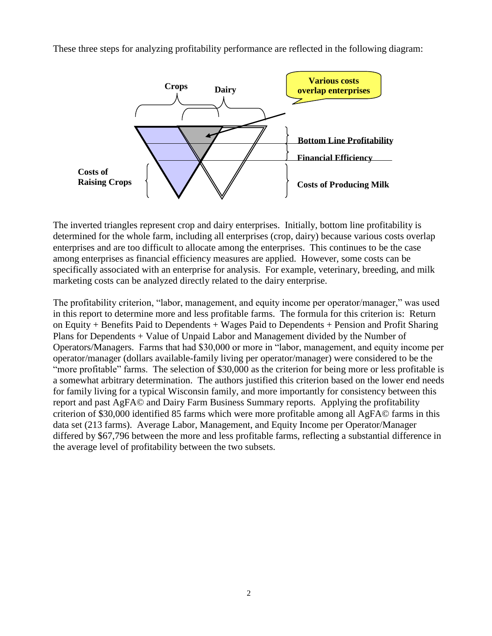These three steps for analyzing profitability performance are reflected in the following diagram:



The inverted triangles represent crop and dairy enterprises. Initially, bottom line profitability is determined for the whole farm, including all enterprises (crop, dairy) because various costs overlap enterprises and are too difficult to allocate among the enterprises. This continues to be the case among enterprises as financial efficiency measures are applied. However, some costs can be specifically associated with an enterprise for analysis. For example, veterinary, breeding, and milk marketing costs can be analyzed directly related to the dairy enterprise.

The profitability criterion, "labor, management, and equity income per operator/manager," was used in this report to determine more and less profitable farms. The formula for this criterion is: Return on Equity + Benefits Paid to Dependents + Wages Paid to Dependents + Pension and Profit Sharing Plans for Dependents + Value of Unpaid Labor and Management divided by the Number of Operators/Managers. Farms that had \$30,000 or more in "labor, management, and equity income per operator/manager (dollars available-family living per operator/manager) were considered to be the "more profitable" farms. The selection of \$30,000 as the criterion for being more or less profitable is a somewhat arbitrary determination. The authors justified this criterion based on the lower end needs for family living for a typical Wisconsin family, and more importantly for consistency between this report and past AgFA© and Dairy Farm Business Summary reports. Applying the profitability criterion of \$30,000 identified 85 farms which were more profitable among all AgFA© farms in this data set (213 farms). Average Labor, Management, and Equity Income per Operator/Manager differed by \$67,796 between the more and less profitable farms, reflecting a substantial difference in the average level of profitability between the two subsets.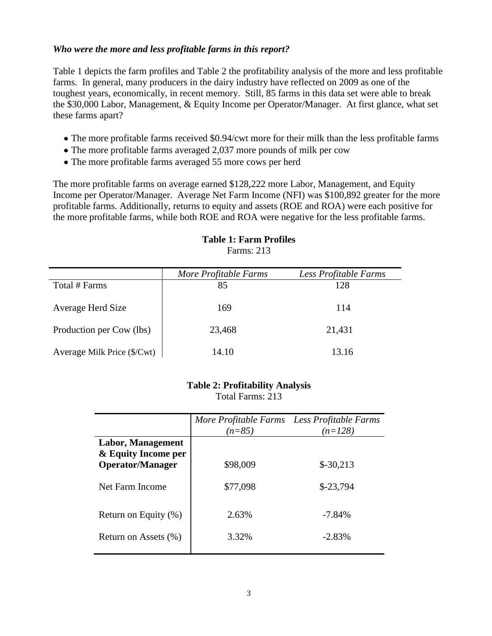## *Who were the more and less profitable farms in this report?*

Table 1 depicts the farm profiles and Table 2 the profitability analysis of the more and less profitable farms. In general, many producers in the dairy industry have reflected on 2009 as one of the toughest years, economically, in recent memory. Still, 85 farms in this data set were able to break the \$30,000 Labor, Management, & Equity Income per Operator/Manager. At first glance, what set these farms apart?

- The more profitable farms received \$0.94/cwt more for their milk than the less profitable farms
- The more profitable farms averaged 2,037 more pounds of milk per cow
- The more profitable farms averaged 55 more cows per herd

The more profitable farms on average earned \$128,222 more Labor, Management, and Equity Income per Operator/Manager. Average Net Farm Income (NFI) was \$100,892 greater for the more profitable farms. Additionally, returns to equity and assets (ROE and ROA) were each positive for the more profitable farms, while both ROE and ROA were negative for the less profitable farms.

|                             | More Profitable Farms | Less Profitable Farms |
|-----------------------------|-----------------------|-----------------------|
| Total # Farms               | 85                    | 128                   |
| Average Herd Size           | 169                   | 114                   |
| Production per Cow (lbs)    | 23,468                | 21,431                |
| Average Milk Price (\$/Cwt) | 14.10                 | 13.16                 |

#### **Table 1: Farm Profiles** Farms: 213

### **Table 2: Profitability Analysis** Total Farms: 213

|                                          | More Profitable Farms Less Profitable Farms<br>$(n=85)$ | $(n=128)$  |
|------------------------------------------|---------------------------------------------------------|------------|
| Labor, Management<br>& Equity Income per |                                                         |            |
| <b>Operator/Manager</b>                  | \$98,009                                                | $$-30,213$ |
| Net Farm Income                          | \$77,098                                                | $$-23,794$ |
| Return on Equity $(\% )$                 | 2.63%                                                   | $-7.84\%$  |
| Return on Assets (%)                     | 3.32%                                                   | $-2.83\%$  |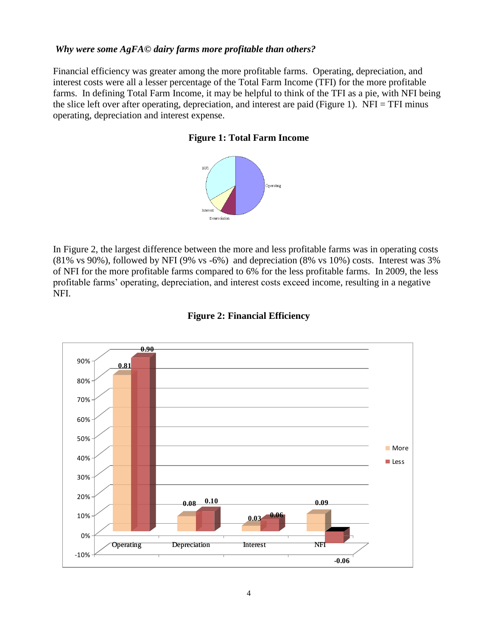### *Why were some AgFA© dairy farms more profitable than others?*

Financial efficiency was greater among the more profitable farms. Operating, depreciation, and interest costs were all a lesser percentage of the Total Farm Income (TFI) for the more profitable farms. In defining Total Farm Income, it may be helpful to think of the TFI as a pie, with NFI being the slice left over after operating, depreciation, and interest are paid (Figure 1). NFI = TFI minus operating, depreciation and interest expense.

### **Figure 1: Total Farm Income**



In Figure 2, the largest difference between the more and less profitable farms was in operating costs (81% vs 90%), followed by NFI (9% vs -6%) and depreciation (8% vs 10%) costs. Interest was 3% of NFI for the more profitable farms compared to 6% for the less profitable farms. In 2009, the less profitable farms' operating, depreciation, and interest costs exceed income, resulting in a negative NFI.



## **Figure 2: Financial Efficiency**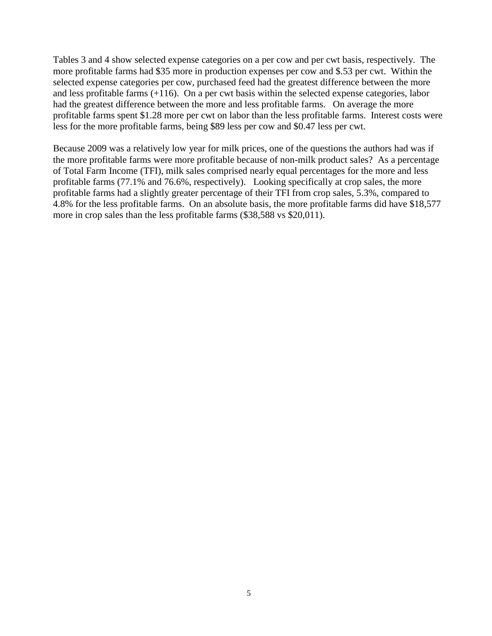Tables 3 and 4 show selected expense categories on a per cow and per cwt basis, respectively. The more profitable farms had \$35 more in production expenses per cow and \$.53 per cwt. Within the selected expense categories per cow, purchased feed had the greatest difference between the more and less profitable farms (+116). On a per cwt basis within the selected expense categories, labor had the greatest difference between the more and less profitable farms. On average the more profitable farms spent \$1.28 more per cwt on labor than the less profitable farms. Interest costs were less for the more profitable farms, being \$89 less per cow and \$0.47 less per cwt.

Because 2009 was a relatively low year for milk prices, one of the questions the authors had was if the more profitable farms were more profitable because of non-milk product sales? As a percentage of Total Farm Income (TFI), milk sales comprised nearly equal percentages for the more and less profitable farms (77.1% and 76.6%, respectively). Looking specifically at crop sales, the more profitable farms had a slightly greater percentage of their TFI from crop sales, 5.3%, compared to 4.8% for the less profitable farms. On an absolute basis, the more profitable farms did have \$18,577 more in crop sales than the less profitable farms (\$38,588 vs \$20,011).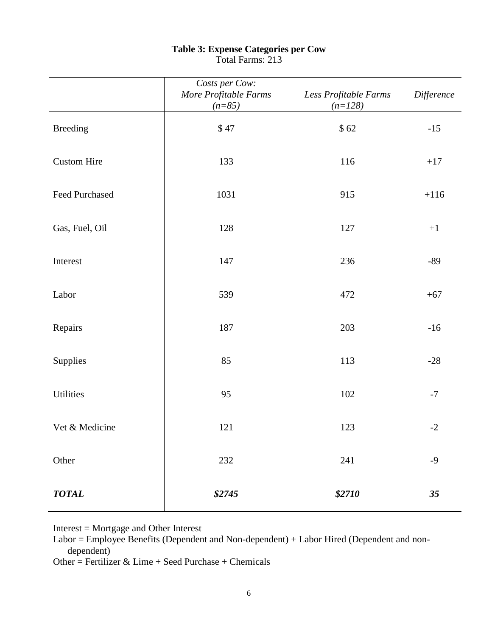|                    | Costs per Cow:<br>More Profitable Farms<br>$(n=85)$ | Less Profitable Farms<br>$(n=128)$ | Difference |
|--------------------|-----------------------------------------------------|------------------------------------|------------|
| <b>Breeding</b>    | \$47                                                | \$62                               | $-15$      |
| <b>Custom Hire</b> | 133                                                 | 116                                | $+17$      |
| Feed Purchased     | 1031                                                | 915                                | $+116$     |
| Gas, Fuel, Oil     | 128                                                 | 127                                | $+1$       |
| Interest           | 147                                                 | 236                                | $-89$      |
| Labor              | 539                                                 | 472                                | $+67$      |
| Repairs            | 187                                                 | 203                                | $-16$      |
| Supplies           | 85                                                  | 113                                | $-28$      |
| Utilities          | 95                                                  | 102                                | $-7$       |
| Vet & Medicine     | 121                                                 | 123                                | $-2$       |
| Other              | 232                                                 | $241\,$                            | $-9$       |
| <b>TOTAL</b>       | \$2745                                              | \$2710                             | 35         |

# **Table 3: Expense Categories per Cow**

Total Farms: 213

Interest = Mortgage and Other Interest

Labor = Employee Benefits (Dependent and Non-dependent) + Labor Hired (Dependent and nondependent)

Other = Fertilizer & Lime + Seed Purchase + Chemicals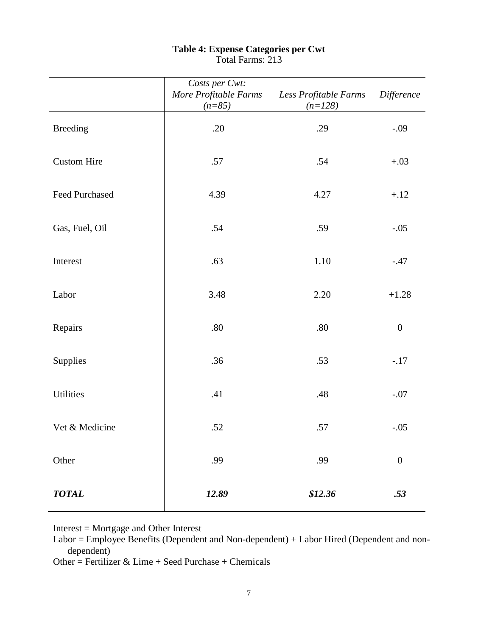|                       | Costs per Cwt:<br>More Profitable Farms<br>$(n=85)$ | Less Profitable Farms<br>$(n=128)$ | Difference       |
|-----------------------|-----------------------------------------------------|------------------------------------|------------------|
| <b>Breeding</b>       | .20                                                 | .29                                | $-.09$           |
| <b>Custom Hire</b>    | .57                                                 | .54                                | $+.03$           |
| <b>Feed Purchased</b> | 4.39                                                | 4.27                               | $+.12$           |
| Gas, Fuel, Oil        | .54                                                 | .59                                | $-.05$           |
| Interest              | .63                                                 | 1.10                               | $-.47$           |
| Labor                 | 3.48                                                | 2.20                               | $+1.28$          |
| Repairs               | $.80\,$                                             | .80                                | $\boldsymbol{0}$ |
| Supplies              | .36                                                 | .53                                | $-.17$           |
| Utilities             | .41                                                 | .48                                | $-.07$           |
| Vet & Medicine        | .52                                                 | .57                                | $-.05$           |
| Other                 | .99                                                 | .99                                | $\boldsymbol{0}$ |
| <b>TOTAL</b>          | 12.89                                               | \$12.36                            | .53              |

### **Table 4: Expense Categories per Cwt** Total Farms: 213

Interest = Mortgage and Other Interest

Labor = Employee Benefits (Dependent and Non-dependent) + Labor Hired (Dependent and nondependent)

Other = Fertilizer & Lime + Seed Purchase + Chemicals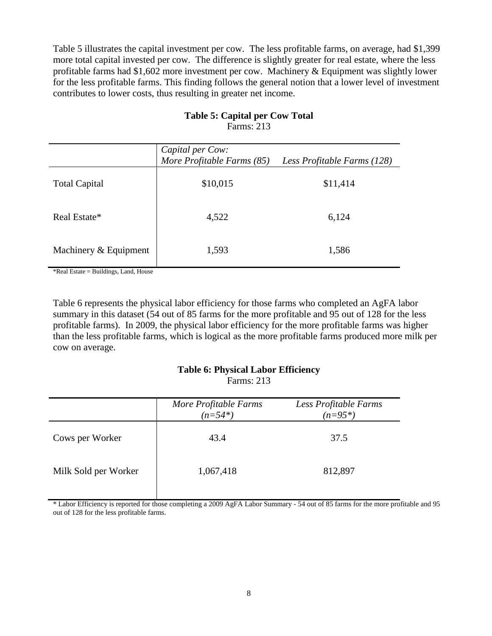Table 5 illustrates the capital investment per cow. The less profitable farms, on average, had \$1,399 more total capital invested per cow. The difference is slightly greater for real estate, where the less profitable farms had \$1,602 more investment per cow. Machinery & Equipment was slightly lower for the less profitable farms. This finding follows the general notion that a lower level of investment contributes to lower costs, thus resulting in greater net income.

|                       | Capital per Cow:<br>More Profitable Farms (85)<br>Less Profitable Farms (128) |          |
|-----------------------|-------------------------------------------------------------------------------|----------|
| <b>Total Capital</b>  | \$10,015                                                                      | \$11,414 |
| Real Estate*          | 4,522                                                                         | 6,124    |
| Machinery & Equipment | 1,593                                                                         | 1,586    |

## **Table 5: Capital per Cow Total**  Farms: 213

\*Real Estate = Buildings, Land, House

Table 6 represents the physical labor efficiency for those farms who completed an AgFA labor summary in this dataset (54 out of 85 farms for the more profitable and 95 out of 128 for the less profitable farms). In 2009, the physical labor efficiency for the more profitable farms was higher than the less profitable farms, which is logical as the more profitable farms produced more milk per cow on average.

# **Table 6: Physical Labor Efficiency**

Farms: 213

|                      | More Profitable Farms<br>$(n=54*)$ | Less Profitable Farms<br>$(n=95*)$ |
|----------------------|------------------------------------|------------------------------------|
| Cows per Worker      | 43.4                               | 37.5                               |
| Milk Sold per Worker | 1,067,418                          | 812,897                            |

\* Labor Efficiency is reported for those completing a 2009 AgFA Labor Summary - 54 out of 85 farms for the more profitable and 95 out of 128 for the less profitable farms.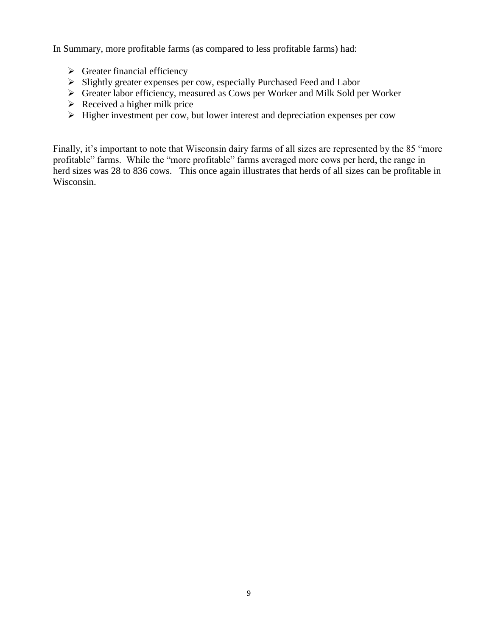In Summary, more profitable farms (as compared to less profitable farms) had:

- $\triangleright$  Greater financial efficiency
- Slightly greater expenses per cow, especially Purchased Feed and Labor
- Greater labor efficiency, measured as Cows per Worker and Milk Sold per Worker
- $\triangleright$  Received a higher milk price
- $\triangleright$  Higher investment per cow, but lower interest and depreciation expenses per cow

Finally, it's important to note that Wisconsin dairy farms of all sizes are represented by the 85 "more profitable" farms. While the "more profitable" farms averaged more cows per herd, the range in herd sizes was 28 to 836 cows. This once again illustrates that herds of all sizes can be profitable in Wisconsin.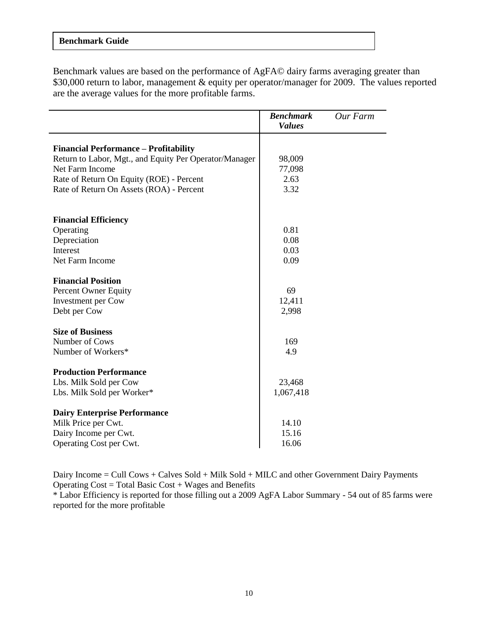### **Benchmark Guide**

Benchmark values are based on the performance of AgFA© dairy farms averaging greater than \$30,000 return to labor, management & equity per operator/manager for 2009. The values reported are the average values for the more profitable farms.

|                                                        | <b>Benchmark</b><br><b>Values</b> | Our Farm |
|--------------------------------------------------------|-----------------------------------|----------|
| <b>Financial Performance – Profitability</b>           |                                   |          |
| Return to Labor, Mgt., and Equity Per Operator/Manager | 98,009                            |          |
| Net Farm Income                                        | 77,098                            |          |
| Rate of Return On Equity (ROE) - Percent               | 2.63                              |          |
| Rate of Return On Assets (ROA) - Percent               | 3.32                              |          |
|                                                        |                                   |          |
| <b>Financial Efficiency</b>                            | 0.81                              |          |
| Operating<br>Depreciation                              | 0.08                              |          |
| Interest                                               | 0.03                              |          |
| Net Farm Income                                        | 0.09                              |          |
|                                                        |                                   |          |
| <b>Financial Position</b>                              |                                   |          |
| Percent Owner Equity                                   | 69                                |          |
| <b>Investment</b> per Cow                              | 12,411                            |          |
| Debt per Cow                                           | 2,998                             |          |
| <b>Size of Business</b>                                |                                   |          |
| Number of Cows                                         | 169                               |          |
| Number of Workers*                                     | 4.9                               |          |
| <b>Production Performance</b>                          |                                   |          |
| Lbs. Milk Sold per Cow                                 | 23,468                            |          |
| Lbs. Milk Sold per Worker*                             | 1,067,418                         |          |
| <b>Dairy Enterprise Performance</b>                    |                                   |          |
| Milk Price per Cwt.                                    | 14.10                             |          |
| Dairy Income per Cwt.                                  | 15.16                             |          |
| Operating Cost per Cwt.                                | 16.06                             |          |

Dairy Income = Cull Cows + Calves Sold + Milk Sold + MILC and other Government Dairy Payments Operating  $Cost = Total Basic Cost + Wages$  and Benefits

\* Labor Efficiency is reported for those filling out a 2009 AgFA Labor Summary - 54 out of 85 farms were reported for the more profitable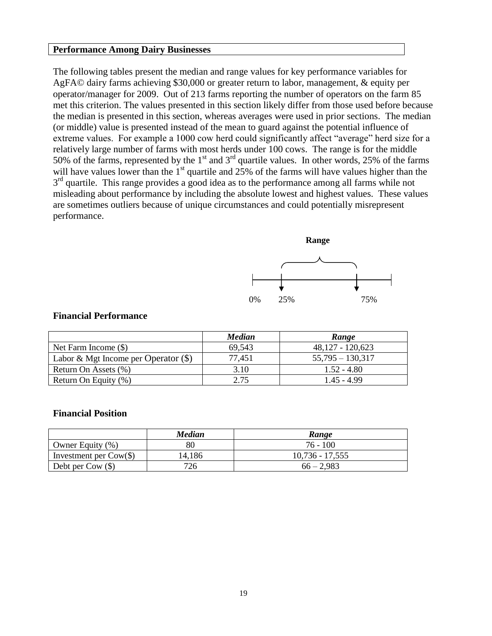#### **Performance Among Dairy Businesses**

The following tables present the median and range values for key performance variables for AgFA© dairy farms achieving \$30,000 or greater return to labor, management, & equity per operator/manager for 2009. Out of 213 farms reporting the number of operators on the farm 85 met this criterion. The values presented in this section likely differ from those used before because the median is presented in this section, whereas averages were used in prior sections. The median (or middle) value is presented instead of the mean to guard against the potential influence of extreme values. For example a 1000 cow herd could significantly affect "average" herd size for a relatively large number of farms with most herds under 100 cows. The range is for the middle 50% of the farms, represented by the 1<sup>st</sup> and 3<sup>rd</sup> quartile values. In other words, 25% of the farms will have values lower than the  $1<sup>st</sup>$  quartile and 25% of the farms will have values higher than the 3<sup>rd</sup> quartile. This range provides a good idea as to the performance among all farms while not misleading about performance by including the absolute lowest and highest values. These values are sometimes outliers because of unique circumstances and could potentially misrepresent performance.



### **Financial Performance**

|                                        | <b>Median</b> | Range              |
|----------------------------------------|---------------|--------------------|
| Net Farm Income $(\$)$                 | 69,543        | $48,127 - 120,623$ |
| Labor & Mgt Income per Operator $(\$)$ | 77,451        | $55.795 - 130.317$ |
| Return On Assets (%)                   | 3.10          | $1.52 - 4.80$      |
| Return On Equity (%)                   | 2.75          | 1.45 - 4.99        |

#### **Financial Position**

|                                 | Median | <b>Range</b>      |
|---------------------------------|--------|-------------------|
| Owner Equity $(\%)$             | 80     | 76 - 100          |
| Investment per $\text{Cow}(\$)$ | 14,186 | $10,736 - 17,555$ |
| Debt per Cow $(\$)$             | 726    | $66 - 2,983$      |